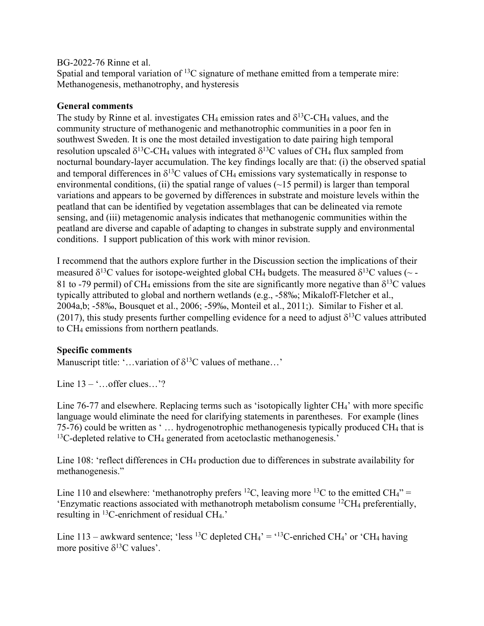## BG-2022-76 Rinne et al.

Spatial and temporal variation of  ${}^{13}C$  signature of methane emitted from a temperate mire: Methanogenesis, methanotrophy, and hysteresis

## **General comments**

The study by Rinne et al. investigates CH<sub>4</sub> emission rates and  $\delta^{13}$ C-CH<sub>4</sub> values, and the community structure of methanogenic and methanotrophic communities in a poor fen in southwest Sweden. It is one the most detailed investigation to date pairing high temporal resolution upscaled  $\delta^{13}$ C-CH<sub>4</sub> values with integrated  $\delta^{13}$ C values of CH<sub>4</sub> flux sampled from nocturnal boundary-layer accumulation. The key findings locally are that: (i) the observed spatial and temporal differences in  $\delta^{13}$ C values of CH<sub>4</sub> emissions vary systematically in response to environmental conditions, (ii) the spatial range of values  $(\sim 15 \text{ permil})$  is larger than temporal variations and appears to be governed by differences in substrate and moisture levels within the peatland that can be identified by vegetation assemblages that can be delineated via remote sensing, and (iii) metagenomic analysis indicates that methanogenic communities within the peatland are diverse and capable of adapting to changes in substrate supply and environmental conditions. I support publication of this work with minor revision.

I recommend that the authors explore further in the Discussion section the implications of their measured  $\delta^{13}$ C values for isotope-weighted global CH<sub>4</sub> budgets. The measured  $\delta^{13}$ C values (~ -81 to -79 permil) of CH<sub>4</sub> emissions from the site are significantly more negative than  $\delta^{13}$ C values typically attributed to global and northern wetlands (e.g., -58‰; Mikaloff-Fletcher et al., 2004a,b; -58‰, Bousquet et al., 2006; -59‰, Monteil et al., 2011;). Similar to Fisher et al. (2017), this study presents further compelling evidence for a need to adjust  $\delta^{13}C$  values attributed to CH4 emissions from northern peatlands.

## **Specific comments**

Manuscript title: '...variation of  $\delta^{13}$ C values of methane...'

Line  $13 - \dots$  offer clues...'?

Line 76-77 and elsewhere. Replacing terms such as 'isotopically lighter CH<sub>4</sub>' with more specific language would eliminate the need for clarifying statements in parentheses. For example (lines 75-76) could be written as ' … hydrogenotrophic methanogenesis typically produced CH4 that is  $13C$ -depleted relative to CH<sub>4</sub> generated from acetoclastic methanogenesis.'

Line 108: 'reflect differences in CH<sub>4</sub> production due to differences in substrate availability for methanogenesis."

Line 110 and elsewhere: 'methanotrophy prefers <sup>12</sup>C, leaving more <sup>13</sup>C to the emitted CH<sub>4</sub>" = 'Enzymatic reactions associated with methanotroph metabolism consume  ${}^{12}CH_4$  preferentially, resulting in <sup>13</sup>C-enrichment of residual CH<sub>4</sub>.'

Line 113 – awkward sentence; 'less <sup>13</sup>C depleted CH<sub>4</sub>' = '<sup>13</sup>C-enriched CH<sub>4</sub>' or 'CH<sub>4</sub> having more positive  $\delta^{13}$ C values'.